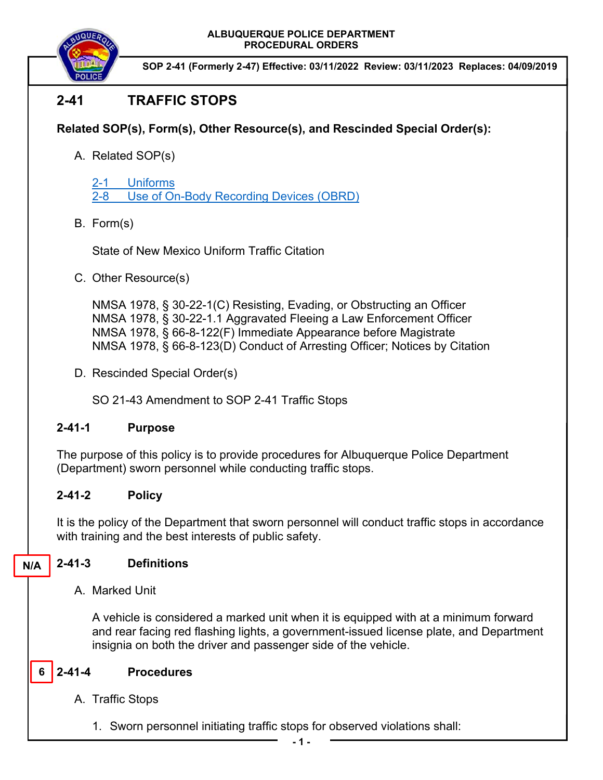**ALBUQUERQUE POLICE DEPARTMENT PROCEDURAL ORDERS** 



**SOP 2-41 (Formerly 2-47) Effective: 03/11/2022 Review: 03/11/2023 Replaces: 04/09/2019**

# **2-41 TRAFFIC STOPS**

## **Related SOP(s), Form(s), Other Resource(s), and Rescinded Special Order(s):**

A. Related SOP(s)

2-1 Uniforms 2-8 Use of On-Body Recording Devices (OBRD)

B. Form(s)

State of New Mexico Uniform Traffic Citation

C. Other Resource(s)

NMSA 1978, § 30-22-1(C) Resisting, Evading, or Obstructing an Officer NMSA 1978, § 30-22-1.1 Aggravated Fleeing a Law Enforcement Officer NMSA 1978, § 66-8-122(F) Immediate Appearance before Magistrate NMSA 1978, § 66-8-123(D) Conduct of Arresting Officer; Notices by Citation

D. Rescinded Special Order(s)

SO 21-43 Amendment to SOP 2-41 Traffic Stops

## **2-41-1 Purpose**

The purpose of this policy is to provide procedures for Albuquerque Police Department (Department) sworn personnel while conducting traffic stops.

## **2-41-2 Policy**

It is the policy of the Department that sworn personnel will conduct traffic stops in accordance with training and the best interests of public safety.

**N/A** 

## **2-41-3 Definitions**

A. Marked Unit

A vehicle is considered a marked unit when it is equipped with at a minimum forward and rear facing red flashing lights, a government-issued license plate, and Department insignia on both the driver and passenger side of the vehicle.

#### **2-41-4 Procedures 6**

- A. Traffic Stops
	- 1. Sworn personnel initiating traffic stops for observed violations shall: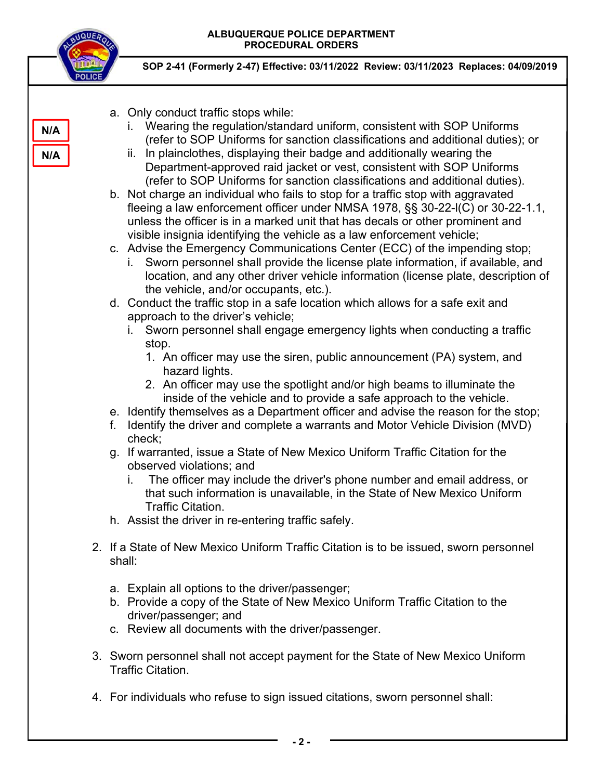#### **ALBUQUERQUE POLICE DEPARTMENT PROCEDURAL ORDERS**



**N/A** 

**N/A** 

**SOP 2-41 (Formerly 2-47) Effective: 03/11/2022 Review: 03/11/2023 Replaces: 04/09/2019**

- a. Only conduct traffic stops while:
	- i. Wearing the regulation/standard uniform, consistent with SOP Uniforms (refer to SOP Uniforms for sanction classifications and additional duties); or
	- ii. In plainclothes, displaying their badge and additionally wearing the Department-approved raid jacket or vest, consistent with SOP Uniforms (refer to SOP Uniforms for sanction classifications and additional duties).

b. Not charge an individual who fails to stop for a traffic stop with aggravated fleeing a law enforcement officer under NMSA 1978, §§ 30-22-l(C) or 30-22-1.1, unless the officer is in a marked unit that has decals or other prominent and visible insignia identifying the vehicle as a law enforcement vehicle;

- c. Advise the Emergency Communications Center (ECC) of the impending stop;
	- i. Sworn personnel shall provide the license plate information, if available, and location, and any other driver vehicle information (license plate, description of the vehicle, and/or occupants, etc.).
- d. Conduct the traffic stop in a safe location which allows for a safe exit and approach to the driver's vehicle;
	- i. Sworn personnel shall engage emergency lights when conducting a traffic stop.
		- 1. An officer may use the siren, public announcement (PA) system, and hazard lights.
		- 2. An officer may use the spotlight and/or high beams to illuminate the inside of the vehicle and to provide a safe approach to the vehicle.
- e. Identify themselves as a Department officer and advise the reason for the stop;
- f. Identify the driver and complete a warrants and Motor Vehicle Division (MVD) check;
- g. If warranted, issue a State of New Mexico Uniform Traffic Citation for the observed violations; and
	- i. The officer may include the driver's phone number and email address, or that such information is unavailable, in the State of New Mexico Uniform Traffic Citation.
- h. Assist the driver in re-entering traffic safely.
- 2. If a State of New Mexico Uniform Traffic Citation is to be issued, sworn personnel shall:
	- a. Explain all options to the driver/passenger;
	- b. Provide a copy of the State of New Mexico Uniform Traffic Citation to the driver/passenger; and
	- c. Review all documents with the driver/passenger.
- 3. Sworn personnel shall not accept payment for the State of New Mexico Uniform Traffic Citation.
- 4. For individuals who refuse to sign issued citations, sworn personnel shall: